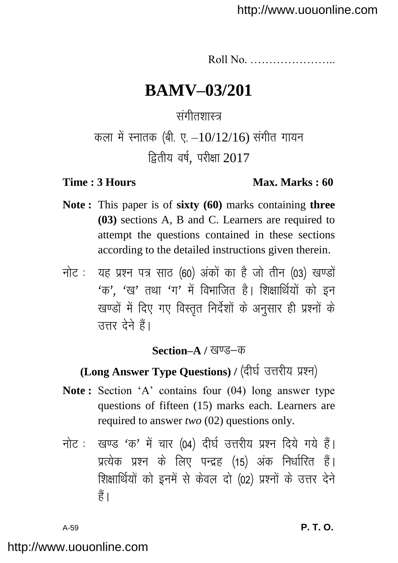Roll No. …………………..

# **BAMV–03/201**

## संगीतशास्त्र

# कला में स्नातक (बी. ए.  $-10/12/16$ ) संगीत गायन  $\overline{k}$ तीय वर्ष. परीक्षा 2017

### **Time : 3 Hours Max. Marks : 60**

- **Note :** This paper is of **sixty (60)** marks containing **three (03)** sections A, B and C. Learners are required to attempt the questions contained in these sections according to the detailed instructions given therein.
- नोट: यह प्रश्न पत्र साठ (60) अंकों का है जो तीन (03) खण्डों  $4\pi$ '.  $4\pi$ ' तथा  $4\pi$ ' में विभाजित है। शिक्षार्थियों को इन खण्डों में दिए गए विस्तृत निर्देशों के अनुसार ही प्रश्नों के त्तर देने हैं।

### **Section–A / खण्ड–क**

## **(Long Answer Type Questions) / (दीर्घ उत्तरीय प्रश्न)**

- Note: Section 'A' contains four (04) long answer type questions of fifteen (15) marks each. Learners are required to answer *two* (02) questions only.
- नोट: खण्ड 'क' में चार (04) दीर्घ उत्तरीय प्रश्न दिये गये हैं। प्रत्येक प्रश्न के लिए पन्द्रह (15) अंक निर्धारित हैं। शिक्षार्थियों को इनमें से केवल दो (02) प्रश्नों के उत्तर देने  $\frac{4}{5}$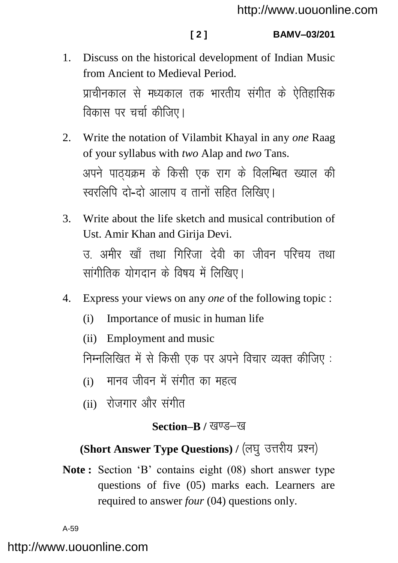- 1. Discuss on the historical development of Indian Music from Ancient to Medieval Period. प्राचीनकाल से मध्यकाल तक भारतीय संगीत के ऐतिहासिक विकास पर चर्चा कीजिए।
- 2. Write the notation of Vilambit Khayal in any *one* Raag of your syllabus with *two* Alap and *two* Tans. अपने पाठयक्रम के किसी एक राग के विलम्बित ख्याल की स्वरलिपि दो-दो आलाप व तानों सहित लिखिए।
- 3. Write about the life sketch and musical contribution of Ust. Amir Khan and Girija Devi. त्त अमीर खाँ तथा गिरिजा देवी का जीवन परिचय तथा सांगीतिक योगदान के विषय में लिखिए।
- 4. Express your views on any *one* of the following topic :
	- (i) Importance of music in human life
	- (ii) Employment and music

निम्नलिखित में से किसी एक पर अपने विचार व्यक्त कीजिए:

- $(i)$  मानव जीवन में संगीत का महत्व
- $(ii)$  रोजगार और संगीत

### **Section–B / खण्ड–ख**

# **(Short Answer Type Questions) / (लघु उत्तरीय प्रश्न)**

**Note :** Section "B" contains eight (08) short answer type questions of five (05) marks each. Learners are required to answer *four* (04) questions only.

A-59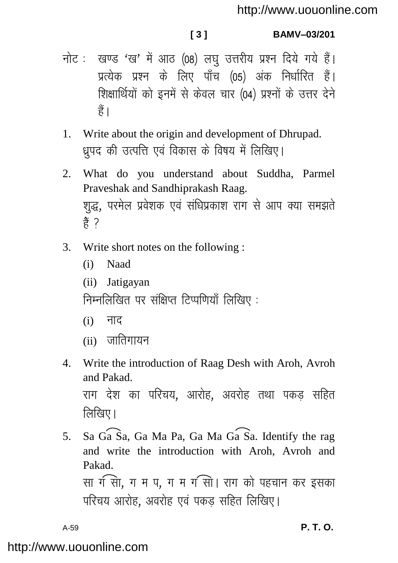**[ 3 ] BAMV–03/201**

- नोट: खण्ड 'ख' में आठ (08) लघु उत्तरीय प्रश्न दिये गये हैं। ं<br>प्रत्येक प्रश्न के लिए पाँच (05) अंक निर्धारित हैं। शिक्षार्थियों को इनमें से केवल चार (04) प्रश्नों के उत्तर देने  $\frac{3}{5}$
- 1. Write about the origin and development of Dhrupad. ध्रपद की उत्पत्ति एवं विकास के विषय में लिखिए।
- 2. What do you understand about Suddha, Parmel Praveshak and Sandhiprakash Raag. शुद्ध, परमेल प्रवेशक एवं संधिप्रकाश राग से आप क्या समझते  $\frac{3}{5}$  ?
- 3. Write short notes on the following :
	- (i) Naad
	- (ii) Jatigayan

निम्नलिखित पर संक्षिप्त टिप्पणियाँ लिखिए:

- $(i)$  नाद
- $(ii)$  जातिगायन
- 4. Write the introduction of Raag Desh with Aroh, Avroh and Pakad. राग देश का परिचय, आरोह, अवरोह तथा पकड सहित  $\widehat{R}$ रिवर ।
- 5. Sa Ga Sa, Ga Ma Pa, Ga Ma Ga Sa. Identify the rag and write the introduction with Aroh, Avroh and Pakad. सा ग सा, ग म प, ग म ग सा। राग को पहचान कर इसका परिचय आरोह, अवरोह एवं पकड सहित लिखिए।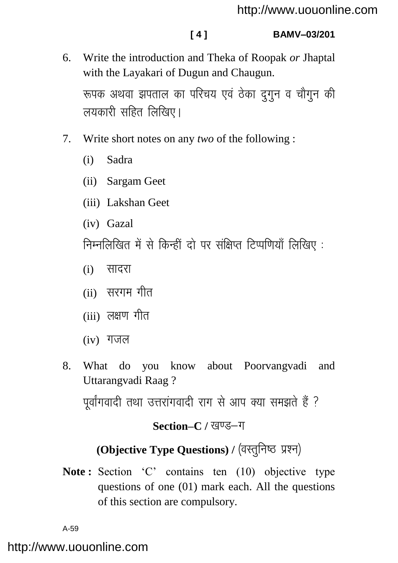**[ 4 ] BAMV–03/201**

6. Write the introduction and Theka of Roopak *or* Jhaptal with the Layakari of Dugun and Chaugun.

रूपक अथवा झपताल का परिचय एवं ठेका दगन व चौगन की लयकारी सहित लिखिए।

- 7. Write short notes on any *two* of the following :
	- (i) Sadra
	- (ii) Sargam Geet
	- (iii) Lakshan Geet
	- (iv) Gazal

निम्नलिखित में से किन्हीं दो पर संक्षिप्त टिप्पणियाँ लिखिए:

- $(i)$  सादरा
- $(i)$  सरगम गीत
- $(iii)$  लक्षण गीत
- $(iv)$  गजल
- 8. What do you know about Poorvangvadi and Uttarangvadi Raag ?

पर्वांगवादी तथा उत्तरांगवादी राग से आप क्या समझते हैं ?

## **Section–C / खण्ड–ग**

# **(Objective Type Questions) / (वस्तुनिष्ठ प्रश्न)**

Note: Section 'C' contains ten (10) objective type questions of one (01) mark each. All the questions of this section are compulsory.

A-59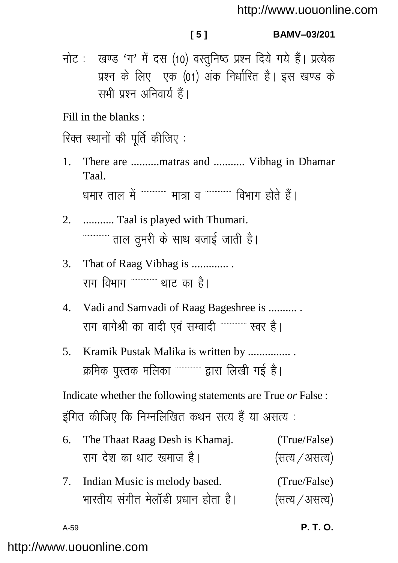### $151$

BAMV-03/201

नोट: खण्ड 'ग' में दस (10) वस्तुनिष्ठ प्रश्न दिये गये हैं। प्रत्येक प्रश्न के लिए एक (01) अंक निर्धारित है। इस खण्ड के सभी प्रश्न अनिवार्य हैं।

Fill in the blanks:

रिक्त स्थानों की पूर्ति कीजिए :

There are ..........matras and ........... Vibhag in Dhamar  $1_{-}$ Taal.

धमार ताल में """"""" मात्रा व """""""" विभाग होते हैं।

- ............ Taal is played with Thumari. 2.
- That of Raag Vibhag is .............. 3. राग विभाग '''''''''''''' थाट का है।
- Vadi and Samvadi of Raag Bageshree is ..........  $\overline{4}$ . राग बागेश्री का वादी एवं सम्वादी """"""" स्वर है।
- Kramik Pustak Malika is written by ................  $5<sub>1</sub>$ क्रमिक पुस्तक मलिका """""""" द्वारा लिखी गई है।

Indicate whether the following statements are True or False : इंगित कीजिए कि निम्नलिखित कथन सत्य हैं या असत्य :

| 6. The Thaat Raag Desh is Khamaj.   | (True/False)   |
|-------------------------------------|----------------|
| राग देश का थाट खमाज है।             | (सत्य / असत्य) |
| 7. Indian Music is melody based.    | (True/False)   |
| भारतीय संगीत मेलॉडी प्रधान होता है। | (सत्य / असत्य) |

 $A-59$ 

P. T. O.